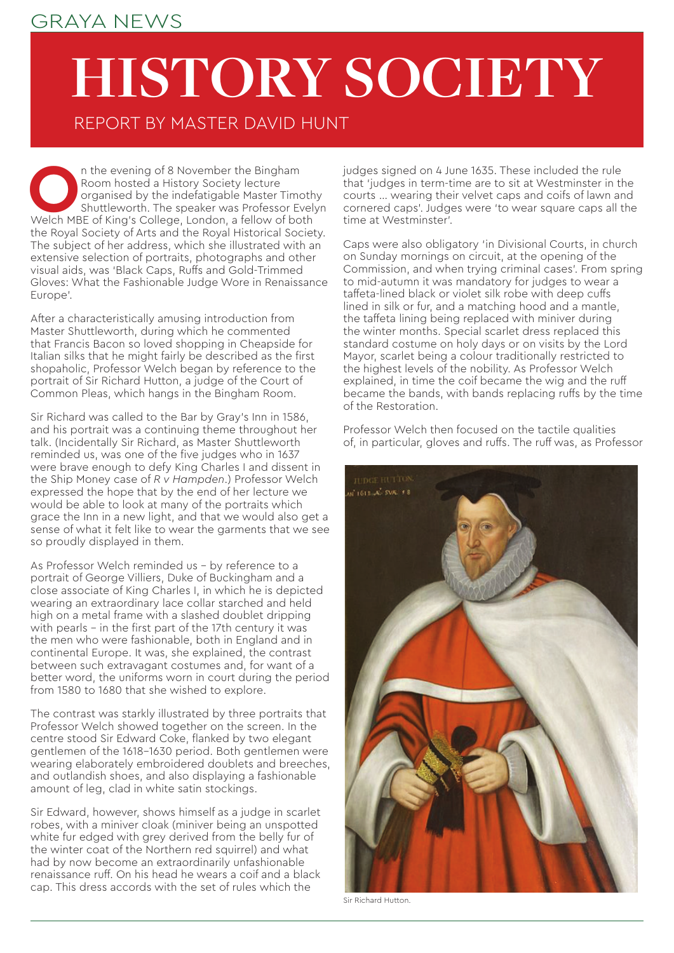## GRAYA NEWS

## **HISTORY SOCIETY**

REPORT BY MASTER DAVID HUNT

**O**n the evening of 8 November the Bingham<br>
Room hosted a History Society lecture<br>
organised by the indefatigable Master Timoth<br>
Shuttleworth. The speaker was Professor Evel<br>
Welch MBE of King's College, London, a fellow o Room hosted a History Society lecture organised by the indefatigable Master Timothy Shuttleworth. The speaker was Professor Evelyn the Royal Society of Arts and the Royal Historical Society. The subject of her address, which she illustrated with an extensive selection of portraits, photographs and other visual aids, was 'Black Caps, Ruffs and Gold-Trimmed Gloves: What the Fashionable Judge Wore in Renaissance Europe'.

After a characteristically amusing introduction from Master Shuttleworth, during which he commented that Francis Bacon so loved shopping in Cheapside for Italian silks that he might fairly be described as the first shopaholic, Professor Welch began by reference to the portrait of Sir Richard Hutton, a judge of the Court of Common Pleas, which hangs in the Bingham Room.

Sir Richard was called to the Bar by Gray's Inn in 1586, and his portrait was a continuing theme throughout her talk. (Incidentally Sir Richard, as Master Shuttleworth reminded us, was one of the five judges who in 1637 were brave enough to defy King Charles I and dissent in the Ship Money case of *R v Hampden*.) Professor Welch expressed the hope that by the end of her lecture we would be able to look at many of the portraits which grace the Inn in a new light, and that we would also get a sense of what it felt like to wear the garments that we see so proudly displayed in them.

As Professor Welch reminded us – by reference to a portrait of George Villiers, Duke of Buckingham and a close associate of King Charles I, in which he is depicted wearing an extraordinary lace collar starched and held high on a metal frame with a slashed doublet dripping with pearls - in the first part of the 17th century it was the men who were fashionable, both in England and in continental Europe. It was, she explained, the contrast between such extravagant costumes and, for want of a better word, the uniforms worn in court during the period from 1580 to 1680 that she wished to explore.

The contrast was starkly illustrated by three portraits that Professor Welch showed together on the screen. In the centre stood Sir Edward Coke, flanked by two elegant gentlemen of the 1618–1630 period. Both gentlemen were wearing elaborately embroidered doublets and breeches, and outlandish shoes, and also displaying a fashionable amount of leg, clad in white satin stockings.

Sir Edward, however, shows himself as a judge in scarlet robes, with a miniver cloak (miniver being an unspotted white fur edged with grey derived from the belly fur of the winter coat of the Northern red squirrel) and what had by now become an extraordinarily unfashionable renaissance ruff. On his head he wears a coif and a black cap. This dress accords with the set of rules which the

judges signed on 4 June 1635. These included the rule that 'judges in term-time are to sit at Westminster in the courts … wearing their velvet caps and coifs of lawn and cornered caps'. Judges were 'to wear square caps all the time at Westminster'.

Caps were also obligatory 'in Divisional Courts, in church on Sunday mornings on circuit, at the opening of the Commission, and when trying criminal cases'. From spring to mid-autumn it was mandatory for judges to wear a taffeta-lined black or violet silk robe with deep cuffs lined in silk or fur, and a matching hood and a mantle, the taffeta lining being replaced with miniver during the winter months. Special scarlet dress replaced this standard costume on holy days or on visits by the Lord Mayor, scarlet being a colour traditionally restricted to the highest levels of the nobility. As Professor Welch explained, in time the coif became the wig and the ruff became the bands, with bands replacing ruffs by the time of the Restoration.

Professor Welch then focused on the tactile qualities of, in particular, gloves and ruffs. The ruff was, as Professor



Sir Richard Hutton.